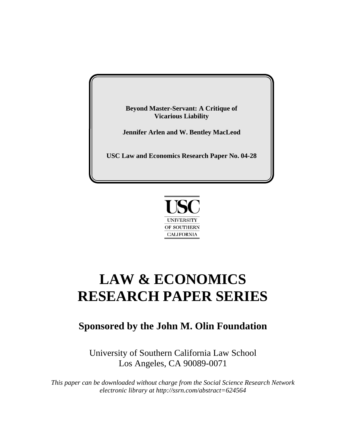**Beyond Master-Servant: A Critique of Vicarious Liability**

**Jennifer Arlen and W. Bentley MacLeod**

**USC Law and Economics Research Paper No. 04-28**



# **LAW & ECONOMICS RESEARCH PAPER SERIES**

## **Sponsored by the John M. Olin Foundation**

University of Southern California Law School Los Angeles, CA 90089-0071

*This paper can be downloaded without charge from the Social Science Research Network electronic library at http://ssrn.com/abstract=624564*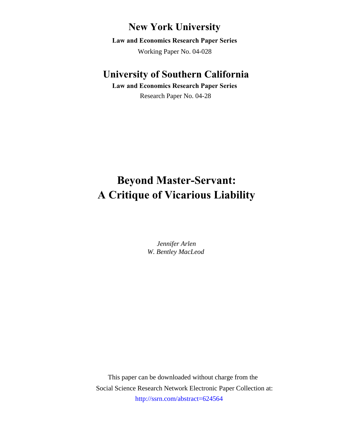## **New York University**

Working Paper No. 04-028 **Law and Economics Research Paper Series**

## **University of Southern California**

**Law and Economics Research Paper Series** Research Paper No. 04-28

## **Beyond Master-Servant: A Critique of Vicarious Liability**

*W. Bentley MacLeod Jennifer Arlen*

This paper can be downloaded without charge from the Social Science Research Network Electronic Paper Collection at: [http://ssrn.com/abstract=624564](http://papers.ssrn.com/abstract=283822)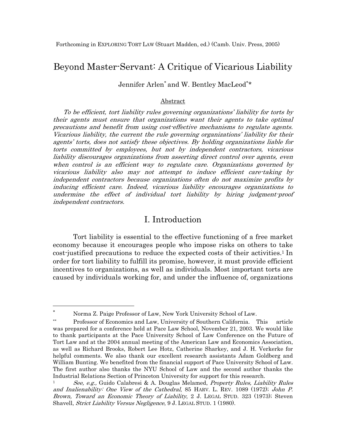### Beyond Master-Servant: A Critique of Vicarious Liability

Jennifer Arlen<sup>∗</sup> and W. Bentley MacLeod<sup>∗</sup> \*

#### Abstract

 To be efficient, tort liability rules governing organizations' liability for torts by their agents must ensure that organizations want their agents to take optimal precautions and benefit from using cost-effective mechanisms to regulate agents. Vicarious liability, the current the rule governing organizations' liability for their agents' torts, does not satisfy these objectives. By holding organizations liable for torts committed by employees, but not by independent contractors, vicarious liability discourages organizations from asserting direct control over agents, even when control is an efficient way to regulate care. Organizations governed by vicarious liability also may not attempt to induce efficient care-taking by independent contractors because organizations often do not maximize profits by inducing efficient care. Indeed, vicarious liability encourages organizations to undermine the effect of individual tort liability by hiring judgment-proof independent contractors.

#### I. Introduction

 Tort liability is essential to the effective functioning of a free market economy because it encourages people who impose risks on others to take cost-justified precautions to reduce the expected costs of their activities.1 In order for tort liability to fulfill its promise, however, it must provide efficient incentives to organizations, as well as individuals. Most important torts are caused by individuals working for, and under the influence of, organizations

<sup>∗</sup> Norma Z. Paige Professor of Law, New York University School of Law.

Professor of Economics and Law, University of Southern California. This article was prepared for a conference held at Pace Law School, November 21, 2003. We would like to thank participants at the Pace University School of Law Conference on the Future of Tort Law and at the 2004 annual meeting of the American Law and Economics Association, as well as Richard Brooks, Robert Lee Hotz, Catherine Sharkey, and J. H. Verkerke for helpful comments. We also thank our excellent research assistants Adam Goldberg and William Bunting. We benefited from the financial support of Pace University School of Law. The first author also thanks the NYU School of Law and the second author thanks the Industrial Relations Section of Princeton University for support for this research.

<sup>&</sup>lt;sup>1</sup> See, e.g., Guido Calabresi & A. Douglas Melamed, *Property Rules, Liability Rules* and Inalienability: One View of the Cathedral, 85 HARV. L. REV. 1089 (1972); John P. Brown, Toward an Economic Theory of Liability, 2 J. LEGAL STUD. 323 (1973); Steven Shavell, *Strict Liability Versus Negligence*, 9 J. LEGAL STUD. 1 (1980).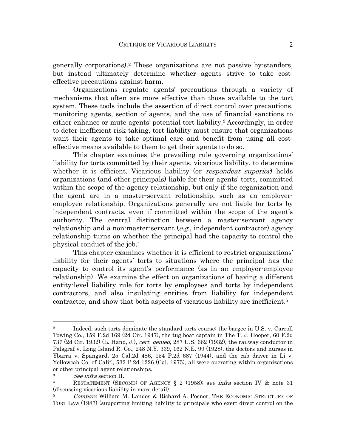generally corporations).2 These organizations are not passive by-standers, but instead ultimately determine whether agents strive to take costeffective precautions against harm.

Organizations regulate agents' precautions through a variety of mechanisms that often are more effective than those available to the tort system. These tools include the assertion of direct control over precautions, monitoring agents, section of agents, and the use of financial sanctions to either enhance or mute agents' potential tort liability.3 Accordingly, in order to deter inefficient risk-taking, tort liability must ensure that organizations want their agents to take optimal care and benefit from using all costeffective means available to them to get their agents to do so.

This chapter examines the prevailing rule governing organizations' liability for torts committed by their agents, vicarious liability, to determine whether it is efficient. Vicarious liability (or *respondeat superior*) holds organizations (and other principals) liable for their agents' torts, committed within the scope of the agency relationship, but only if the organization and the agent are in a master-servant relationship, such as an employeremployee relationship. Organizations generally are not liable for torts by independent contracts, even if committed within the scope of the agent's authority. The central distinction between a master-servant agency relationship and a non-master-servant  $(e.g.,$  independent contractor) agency relationship turns on whether the principal had the capacity to control the physical conduct of the job.4

This chapter examines whether it is efficient to restrict organizations' liability for their agents' torts to situations where the principal has the capacity to control its agent's performance (as in an employer-employee relationship). We examine the effect on organizations of having a different entity-level liability rule for torts by employees and torts by independent contractors, and also insulating entities from liability for independent contractor, and show that both aspects of vicarious liability are inefficient.5

<sup>2</sup> Indeed, such torts dominate the standard torts course: the bargee in U.S. v. Carroll Towing Co., 159 F.2d 169 (2d Cir. 1947), the tug boat captain in The T. J. Hooper, 60 F.2d 737 (2d Cir. 1932) (L. Hand, J.), *cert. denied*, 287 U.S. 662 (1932), the railway conductor in Palsgraf v. Long Island R. Co., 248 N.Y. 339, 162 N.E. 99 (1928), the doctors and nurses in Ybarra v. Spangard, 25 Cal.2d 486, 154 P.2d 687 (1944), and the cab driver in Li v. Yellowcab Co. of Calif., 532 P.2d 1226 (Cal. 1975), all were operating within organizations or other principal-agent relationships.

<sup>&</sup>lt;sup>3</sup> See infra section II.<br><sup>4</sup> RESTATEMENT (SECOND) OF AGENCY § 2 (1958); see infra section IV & note 31 (discussing vicarious liability in more detail).

Compare William M. Landes & Richard A. Posner, THE ECONOMIC STRUCTURE OF TORT LAW (1987) (supporting limiting liability to principals who exert direct control on the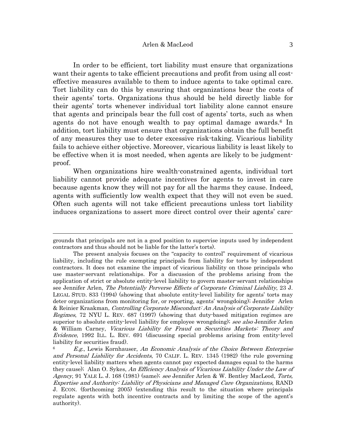In order to be efficient, tort liability must ensure that organizations want their agents to take efficient precautions and profit from using all costeffective measures available to them to induce agents to take optimal care. Tort liability can do this by ensuring that organizations bear the costs of their agents' torts. Organizations thus should be held directly liable for their agents' torts whenever individual tort liability alone cannot ensure that agents and principals bear the full cost of agents' torts, such as when agents do not have enough wealth to pay optimal damage awards.6 In addition, tort liability must ensure that organizations obtain the full benefit of any measures they use to deter excessive risk-taking. Vicarious liability fails to achieve either objective. Moreover, vicarious liability is least likely to be effective when it is most needed, when agents are likely to be judgmentproof.

When organizations hire wealth-constrained agents, individual tort liability cannot provide adequate incentives for agents to invest in care because agents know they will not pay for all the harms they cause. Indeed, agents with sufficiently low wealth expect that they will not even be sued. Often such agents will not take efficient precautions unless tort liability induces organizations to assert more direct control over their agents' care-

grounds that principals are not in a good position to supervise inputs used by independent contractors and thus should not be liable for the latter's torts).

The present analysis focuses on the "capacity to control" requirement of vicarious liability, including the rule exempting principals from liability for torts by independent contractors. It does not examine the impact of vicarious liability on those principals who use master-servant relationships. For a discussion of the problems arising from the application of strict or absolute entity-level liability to govern master-servant relationships see Jennifer Arlen, The Potentially Perverse Effects of Corporate Criminal Liability, 23 J. LEGAL STUD. 833 (1994) (showing that absolute entity-level liability for agents' torts may deter organizations from monitoring for, or reporting, agents' wrongdoing); Jennifer Arlen & Reinier Kraakman, Controlling Corporate Misconduct: An Analysis of Corporate Liability Regimes, 72 NYU L. REV. 687 (1997) (showing that duty-based mitigation regimes are superior to absolute entity-level liability for employee wrongdoing); see also Jennifer Arlen & William Carney, Vicarious Liability for Fraud on Securities Markets: Theory and Evidence, 1992 ILL. L. REV. 691 (discussing special problems arising from entity-level liability for securities fraud).

 $E.g.,$  Lewis Kornhauser, An Economic Analysis of the Choice Between Enterprise and Personal Liability for Accidents, 70 CALIF. L. REV. 1345 (1982) (the rule governing entity-level liability matters when agents cannot pay expected damages equal to the harms they cause); Alan O. Sykes, An Efficiency Analysis of Vicarious Liability Under the Law of Agency, 91 YALE L. J. 168 (1981) (same); see Jennifer Arlen & W. Bentley MacLeod, Torts, Expertise and Authority: Liability of Physicians and Managed Care Organizations, RAND J. ECON. (forthcoming 2005) (extending this result to the situation where principals regulate agents with both incentive contracts and by limiting the scope of the agent's authority).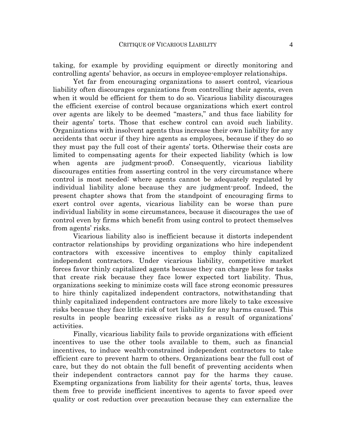taking, for example by providing equipment or directly monitoring and controlling agents' behavior, as occurs in employee-employer relationships.

Yet far from encouraging organizations to assert control, vicarious liability often discourages organizations from controlling their agents, even when it would be efficient for them to do so. Vicarious liability discourages the efficient exercise of control because organizations which exert control over agents are likely to be deemed "masters," and thus face liability for their agents' torts. Those that eschew control can avoid such liability. Organizations with insolvent agents thus increase their own liability for any accidents that occur if they hire agents as employees, because if they do so they must pay the full cost of their agents' torts. Otherwise their costs are limited to compensating agents for their expected liability (which is low when agents are judgment-proof). Consequently, vicarious liability discourages entities from asserting control in the very circumstance where control is most needed: where agents cannot be adequately regulated by individual liability alone because they are judgment-proof. Indeed, the present chapter shows that from the standpoint of encouraging firms to exert control over agents, vicarious liability can be worse than pure individual liability in some circumstances, because it discourages the use of control even by firms which benefit from using control to protect themselves from agents' risks.

Vicarious liability also is inefficient because it distorts independent contractor relationships by providing organizations who hire independent contractors with excessive incentives to employ thinly capitalized independent contractors. Under vicarious liability, competitive market forces favor thinly capitalized agents because they can charge less for tasks that create risk because they face lower expected tort liability. Thus, organizations seeking to minimize costs will face strong economic pressures to hire thinly capitalized independent contractors, notwithstanding that thinly capitalized independent contractors are more likely to take excessive risks because they face little risk of tort liability for any harms caused. This results in people bearing excessive risks as a result of organizations' activities.

Finally, vicarious liability fails to provide organizations with efficient incentives to use the other tools available to them, such as financial incentives, to induce wealth-constrained independent contractors to take efficient care to prevent harm to others. Organizations bear the full cost of care, but they do not obtain the full benefit of preventing accidents when their independent contractors cannot pay for the harms they cause. Exempting organizations from liability for their agents' torts, thus, leaves them free to provide inefficient incentives to agents to favor speed over quality or cost reduction over precaution because they can externalize the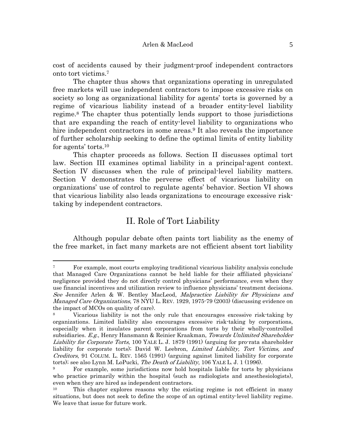cost of accidents caused by their judgment-proof independent contractors onto tort victims.7

The chapter thus shows that organizations operating in unregulated free markets will use independent contractors to impose excessive risks on society so long as organizational liability for agents' torts is governed by a regime of vicarious liability instead of a broader entity-level liability regime.8 The chapter thus potentially lends support to those jurisdictions that are expanding the reach of entity-level liability to organizations who hire independent contractors in some areas.<sup>9</sup> It also reveals the importance of further scholarship seeking to define the optimal limits of entity liability for agents' torts.10

This chapter proceeds as follows. Section II discusses optimal tort law. Section III examines optimal liability in a principal-agent context. Section IV discusses when the rule of principal-level liability matters. Section V demonstrates the perverse effect of vicarious liability on organizations' use of control to regulate agents' behavior. Section VI shows that vicarious liability also leads organizations to encourage excessive risktaking by independent contractors.

## II. Role of Tort Liability

Although popular debate often paints tort liability as the enemy of the free market, in fact many markets are not efficient absent tort liability

<sup>7</sup> For example, most courts employing traditional vicarious liability analysis conclude that Managed Care Organizations cannot be held liable for their affiliated physicians' negligence provided they do not directly control physicians' performance, even when they use financial incentives and utilization review to influence physicians' treatment decisions. See Jennifer Arlen & W. Bentley MacLeod, Malpractice Liability for Physicians and *Managed Care Organizations*, 78 NYU L. REV. 1929, 1975-79 (2003) (discussing evidence on the impact of MCOs on quality of care).

<sup>8</sup> Vicarious liability is not the only rule that encourages excessive risk-taking by organizations. Limited liability also encourages excessive risk-taking by corporations, especially when it insulates parent corporations from torts by their wholly-controlled subsidiaries. E.g., Henry Hansmann & Reinier Kraakman, Towards Unlimited Shareholder Liability for Corporate Torts, 100 YALE L. J. 1879 (1991) (arguing for pro-rata shareholder liability for corporate torts); David W. Leebron, Limited Liability, Tort Victims, and Creditors, 91 COLUM. L. REV. 1565 (1991) (arguing against limited liability for corporate torts); see also Lynn M. LoPucki, The Death of Liability, 106 YALE L. J. 1 (1996).

<sup>&</sup>lt;sup>9</sup> For example, some jurisdictions now hold hospitals liable for torts by physicians who practice primarily within the hospital (such as radiologists and anesthesiologists), even when they are hired as independent contractors.

<sup>10</sup> This chapter explores reasons why the existing regime is not efficient in many situations, but does not seek to define the scope of an optimal entity-level liability regime. We leave that issue for future work.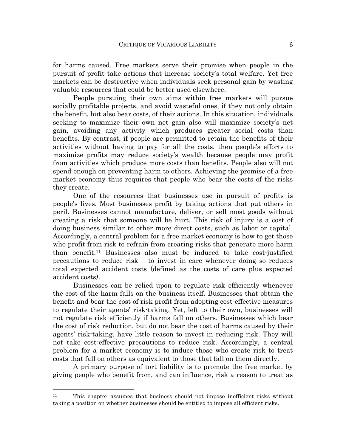for harms caused. Free markets serve their promise when people in the pursuit of profit take actions that increase society's total welfare. Yet free markets can be destructive when individuals seek personal gain by wasting valuable resources that could be better used elsewhere.

People pursuing their own aims within free markets will pursue socially profitable projects, and avoid wasteful ones, if they not only obtain the benefit, but also bear costs, of their actions. In this situation, individuals seeking to maximize their own net gain also will maximize society's net gain, avoiding any activity which produces greater social costs than benefits. By contrast, if people are permitted to retain the benefits of their activities without having to pay for all the costs, then people's efforts to maximize profits may reduce society's wealth because people may profit from activities which produce more costs than benefits. People also will not spend enough on preventing harm to others. Achieving the promise of a free market economy thus requires that people who bear the costs of the risks they create.

One of the resources that businesses use in pursuit of profits is people's lives. Most businesses profit by taking actions that put others in peril. Businesses cannot manufacture, deliver, or sell most goods without creating a risk that someone will be hurt. This risk of injury is a cost of doing business similar to other more direct costs, such as labor or capital. Accordingly, a central problem for a free market economy is how to get those who profit from risk to refrain from creating risks that generate more harm than benefit.11 Businesses also must be induced to take cost-justified precautions to reduce risk − to invest in care whenever doing so reduces total expected accident costs (defined as the costs of care plus expected accident costs).

Businesses can be relied upon to regulate risk efficiently whenever the cost of the harm falls on the business itself. Businesses that obtain the benefit and bear the cost of risk profit from adopting cost-effective measures to regulate their agents' risk-taking. Yet, left to their own, businesses will not regulate risk efficiently if harms fall on others. Businesses which bear the cost of risk reduction, but do not bear the cost of harms caused by their agents' risk-taking, have little reason to invest in reducing risk. They will not take cost-effective precautions to reduce risk. Accordingly, a central problem for a market economy is to induce those who create risk to treat costs that fall on others as equivalent to those that fall on them directly.

A primary purpose of tort liability is to promote the free market by giving people who benefit from, and can influence, risk a reason to treat as

<sup>11</sup> This chapter assumes that business should not impose inefficient risks without taking a position on whether businesses should be entitled to impose all efficient risks.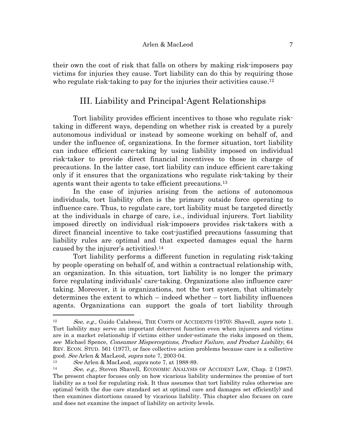their own the cost of risk that falls on others by making risk-imposers pay victims for injuries they cause. Tort liability can do this by requiring those who regulate risk-taking to pay for the injuries their activities cause.<sup>12</sup>

#### III. Liability and Principal-Agent Relationships

Tort liability provides efficient incentives to those who regulate risktaking in different ways, depending on whether risk is created by a purely autonomous individual or instead by someone working on behalf of, and under the influence of, organizations. In the former situation, tort liability can induce efficient care-taking by using liability imposed on individual risk-taker to provide direct financial incentives to those in charge of precautions. In the latter case, tort liability can induce efficient care-taking only if it ensures that the organizations who regulate risk-taking by their agents want their agents to take efficient precautions.13

In the case of injuries arising from the actions of autonomous individuals, tort liability often is the primary outside force operating to influence care. Thus, to regulate care, tort liability must be targeted directly at the individuals in charge of care, i.e., individual injurers. Tort liability imposed directly on individual risk-imposers provides risk-takers with a direct financial incentive to take cost-justified precautions (assuming that liability rules are optimal and that expected damages equal the harm caused by the injurer's activities).14

Tort liability performs a different function in regulating risk-taking by people operating on behalf of, and within a contractual relationship with, an organization. In this situation, tort liability is no longer the primary force regulating individuals' care-taking. Organizations also influence caretaking. Moreover, it is organizations, not the tort system, that ultimately determines the extent to which – indeed whether – tort liability influences agents. Organizations can support the goals of tort liability through

<sup>&</sup>lt;sup>12</sup> See, e.g., Guido Calabresi, THE COSTS OF ACCIDENTS (1970); Shavell, *supra* note 1. Tort liability may serve an important deterrent function even when injurers and victims are in a market relationship if victims either under-estimate the risks imposed on them, see Michael Spence, Consumer Misperceptions, Product Failure, and Product Liability, 64 REV. ECON. STUD. 561 (1977), or face collective action problems because care is a collective good. See Arlen & MacLeod, supra note 7, 2003-04.

<sup>&</sup>lt;sup>13</sup> See Arlen & MacLeod, *supra* note 7, at 1988-89.<br><sup>14</sup> See, e.g., Steven Shavell, ECONOMIC ANALYSIS OF ACCIDENT LAW, Chap. 2 (1987). The present chapter focuses only on how vicarious liability undermines the promise of tort liability as a tool for regulating risk. It thus assumes that tort liability rules otherwise are optimal (with the due care standard set at optimal care and damages set efficiently) and then examines distortions caused by vicarious liability. This chapter also focuses on care and does not examine the impact of liability on activity levels.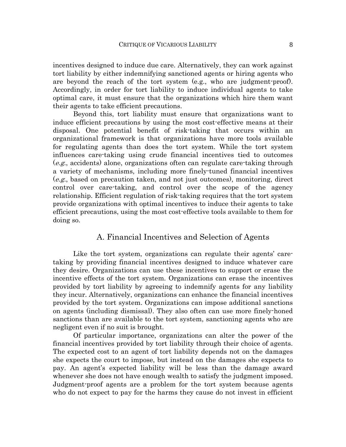incentives designed to induce due care. Alternatively, they can work against tort liability by either indemnifying sanctioned agents or hiring agents who are beyond the reach of the tort system (e.g., who are judgment-proof). Accordingly, in order for tort liability to induce individual agents to take optimal care, it must ensure that the organizations which hire them want their agents to take efficient precautions.

Beyond this, tort liability must ensure that organizations want to induce efficient precautions by using the most cost-effective means at their disposal. One potential benefit of risk-taking that occurs within an organizational framework is that organizations have more tools available for regulating agents than does the tort system. While the tort system influences care-taking using crude financial incentives tied to outcomes  $(e.g., \text{ accidents})$  alone, organizations often can regulate care-taking through a variety of mechanisms, including more finely-tuned financial incentives  $(e.g.,$  based on precaution taken, and not just outcomes), monitoring, direct control over care-taking, and control over the scope of the agency relationship. Efficient regulation of risk-taking requires that the tort system provide organizations with optimal incentives to induce their agents to take efficient precautions, using the most cost-effective tools available to them for doing so.

#### A. Financial Incentives and Selection of Agents

Like the tort system, organizations can regulate their agents' caretaking by providing financial incentives designed to induce whatever care they desire. Organizations can use these incentives to support or erase the incentive effects of the tort system. Organizations can erase the incentives provided by tort liability by agreeing to indemnify agents for any liability they incur. Alternatively, organizations can enhance the financial incentives provided by the tort system. Organizations can impose additional sanctions on agents (including dismissal). They also often can use more finely-honed sanctions than are available to the tort system, sanctioning agents who are negligent even if no suit is brought.

 Of particular importance, organizations can alter the power of the financial incentives provided by tort liability through their choice of agents. The expected cost to an agent of tort liability depends not on the damages she expects the court to impose, but instead on the damages she expects to pay. An agent's expected liability will be less than the damage award whenever she does not have enough wealth to satisfy the judgment imposed. Judgment-proof agents are a problem for the tort system because agents who do not expect to pay for the harms they cause do not invest in efficient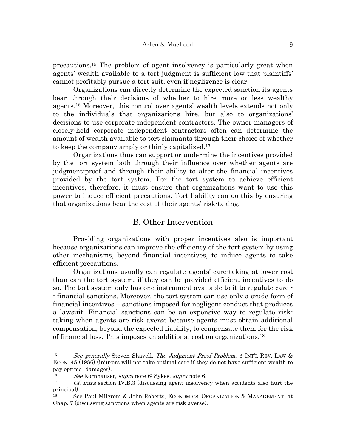precautions.15 The problem of agent insolvency is particularly great when agents' wealth available to a tort judgment is sufficient low that plaintiffs' cannot profitably pursue a tort suit, even if negligence is clear.

 Organizations can directly determine the expected sanction its agents bear through their decisions of whether to hire more or less wealthy agents.16 Moreover, this control over agents' wealth levels extends not only to the individuals that organizations hire, but also to organizations' decisions to use corporate independent contractors. The owner-managers of closely-held corporate independent contractors often can determine the amount of wealth available to tort claimants through their choice of whether to keep the company amply or thinly capitalized.17

 Organizations thus can support or undermine the incentives provided by the tort system both through their influence over whether agents are judgment-proof and through their ability to alter the financial incentives provided by the tort system. For the tort system to achieve efficient incentives, therefore, it must ensure that organizations want to use this power to induce efficient precautions. Tort liability can do this by ensuring that organizations bear the cost of their agents' risk-taking.

#### B. Other Intervention

 Providing organizations with proper incentives also is important because organizations can improve the efficiency of the tort system by using other mechanisms, beyond financial incentives, to induce agents to take efficient precautions.

 Organizations usually can regulate agents' care-taking at lower cost than can the tort system, if they can be provided efficient incentives to do so. The tort system only has one instrument available to it to regulate care - - financial sanctions. Moreover, the tort system can use only a crude form of financial incentives – sanctions imposed for negligent conduct that produces a lawsuit. Financial sanctions can be an expensive way to regulate risktaking when agents are risk averse because agents must obtain additional compensation, beyond the expected liability, to compensate them for the risk of financial loss. This imposes an additional cost on organizations.18

<sup>&</sup>lt;sup>15</sup> See generally Steven Shavell, The Judgment Proof Problem, 6 INT'L REV. LAW & ECON. 45 (1986) (injurers will not take optimal care if they do not have sufficient wealth to pay optimal damages).

<sup>16</sup> See Kornhauser, supra note 6; Sykes, supra note 6.

<sup>&</sup>lt;sup>17</sup> Cf. infra section IV.B.3 (discussing agent insolvency when accidents also hurt the principal).

<sup>18</sup> See Paul Milgrom & John Roberts, ECONOMICS, ORGANIZATION & MANAGEMENT, at Chap. 7 (discussing sanctions when agents are risk averse).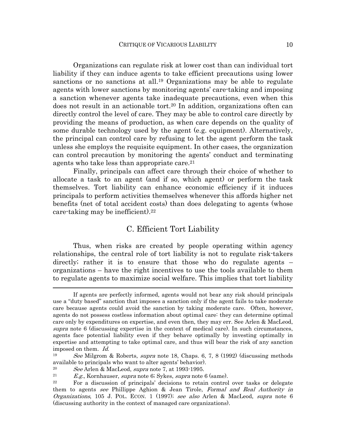Organizations can regulate risk at lower cost than can individual tort liability if they can induce agents to take efficient precautions using lower sanctions or no sanctions at all.19 Organizations may be able to regulate agents with lower sanctions by monitoring agents' care-taking and imposing a sanction whenever agents take inadequate precautions, even when this does not result in an actionable tort.20 In addition, organizations often can directly control the level of care. They may be able to control care directly by providing the means of production, as when care depends on the quality of some durable technology used by the agent (e.g. equipment). Alternatively, the principal can control care by refusing to let the agent perform the task unless she employs the requisite equipment. In other cases, the organization can control precaution by monitoring the agents' conduct and terminating agents who take less than appropriate care.<sup>21</sup>

 Finally, principals can affect care through their choice of whether to allocate a task to an agent (and if so, which agent) or perform the task themselves. Tort liability can enhance economic efficiency if it induces principals to perform activities themselves whenever this affords higher net benefits (net of total accident costs) than does delegating to agents (whose care-taking may be inefficient).22

#### C. Efficient Tort Liability

Thus, when risks are created by people operating within agency relationships, the central role of tort liability is not to regulate risk-takers directly; rather it is to ensure that those who do regulate agents – organizations – have the right incentives to use the tools available to them to regulate agents to maximize social welfare. This implies that tort liability

If agents are perfectly informed, agents would not bear any risk should principals use a "duty based" sanction that imposes a sanction only if the agent fails to take moderate care because agents could avoid the sanction by taking moderate care. Often, however, agents do not possess costless information about optimal care: they can determine optimal care only by expenditures on expertise, and even then, they may err. See Arlen & MacLeod, supra note 6 (discussing expertise in the context of medical care). In such circumstances, agents face potential liability even if they behave optimally by investing optimally in expertise and attempting to take optimal care, and thus will bear the risk of any sanction imposed on them. *Id.*  $See$  Milgrom & Roberts, *supra* note 18, Chaps. 6, 7, 8 (1992) (discussing methods

available to principals who want to alter agents' behavior).

<sup>&</sup>lt;sup>20</sup> See Arlen & MacLeod, *supra* note 7, at 1993-1995.<br><sup>21</sup> E.g., Kornhauser, *supra* note 6; Sykes, *supra* note 6 (same).<br><sup>22</sup> For a discussion of principals' decisions to retain control over tasks or delegate them to agents see Phillippe Aghion & Jean Tirole, Formal and Real Authority in Organizations, 105 J. POL. ECON. 1 (1997); see also Arlen & MacLeod, supra note 6 (discussing authority in the context of managed care organizations).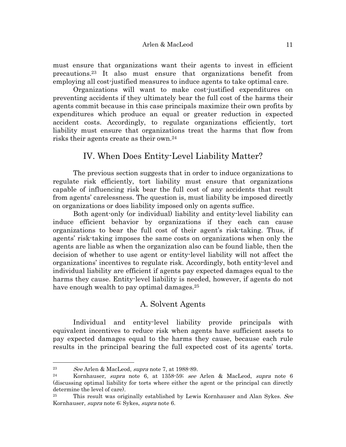must ensure that organizations want their agents to invest in efficient precautions.23 It also must ensure that organizations benefit from employing all cost-justified measures to induce agents to take optimal care.

Organizations will want to make cost-justified expenditures on preventing accidents if they ultimately bear the full cost of the harms their agents commit because in this case principals maximize their own profits by expenditures which produce an equal or greater reduction in expected accident costs. Accordingly, to regulate organizations efficiently, tort liability must ensure that organizations treat the harms that flow from risks their agents create as their own.24

## IV. When Does Entity-Level Liability Matter?

 The previous section suggests that in order to induce organizations to regulate risk efficiently, tort liability must ensure that organizations capable of influencing risk bear the full cost of any accidents that result from agents' carelessness. The question is, must liability be imposed directly on organizations or does liability imposed only on agents suffice.

 Both agent-only (or individual) liability and entity-level liability can induce efficient behavior by organizations if they each can cause organizations to bear the full cost of their agent's risk-taking. Thus, if agents' risk-taking imposes the same costs on organizations when only the agents are liable as when the organization also can be found liable, then the decision of whether to use agent or entity-level liability will not affect the organizations' incentives to regulate risk. Accordingly, both entity-level and individual liability are efficient if agents pay expected damages equal to the harms they cause. Entity-level liability is needed, however, if agents do not have enough wealth to pay optimal damages.<sup>25</sup>

#### A. Solvent Agents

 Individual and entity-level liability provide principals with equivalent incentives to reduce risk when agents have sufficient assets to pay expected damages equal to the harms they cause, because each rule results in the principal bearing the full expected cost of its agents' torts.

<sup>&</sup>lt;sup>23</sup> See Arlen & MacLeod, *supra* note 7, at 1988-89.<br><sup>24</sup> Kornhauser, *supra* note 6, at 1358-59; see Arlen & MacLeod, *supra* note 6 (discussing optimal liability for torts where either the agent or the principal can directly determine the level of care).

<sup>&</sup>lt;sup>25</sup> This result was originally established by Lewis Kornhauser and Alan Sykes. See Kornhauser, supra note 6; Sykes, supra note 6.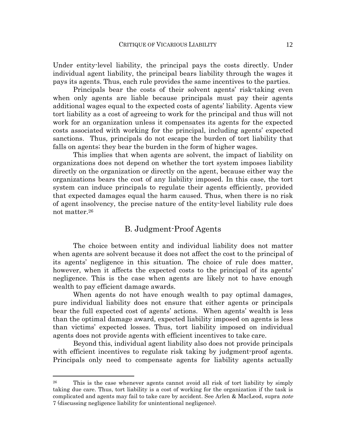Under entity-level liability, the principal pays the costs directly. Under individual agent liability, the principal bears liability through the wages it pays its agents. Thus, each rule provides the same incentives to the parties.

Principals bear the costs of their solvent agents' risk-taking even when only agents are liable because principals must pay their agents additional wages equal to the expected costs of agents' liability. Agents view tort liability as a cost of agreeing to work for the principal and thus will not work for an organization unless it compensates its agents for the expected costs associated with working for the principal, including agents' expected sanctions. Thus, principals do not escape the burden of tort liability that falls on agents; they bear the burden in the form of higher wages.

 This implies that when agents are solvent, the impact of liability on organizations does not depend on whether the tort system imposes liability directly on the organization or directly on the agent, because either way the organizations bears the cost of any liability imposed. In this case, the tort system can induce principals to regulate their agents efficiently, provided that expected damages equal the harm caused. Thus, when there is no risk of agent insolvency, the precise nature of the entity-level liability rule does not matter.26

#### B. Judgment-Proof Agents

 The choice between entity and individual liability does not matter when agents are solvent because it does not affect the cost to the principal of its agents' negligence in this situation. The choice of rule does matter, however, when it affects the expected costs to the principal of its agents' negligence. This is the case when agents are likely not to have enough wealth to pay efficient damage awards.

 When agents do not have enough wealth to pay optimal damages, pure individual liability does not ensure that either agents or principals bear the full expected cost of agents' actions. When agents' wealth is less than the optimal damage award, expected liability imposed on agents is less than victims' expected losses. Thus, tort liability imposed on individual agents does not provide agents with efficient incentives to take care.

 Beyond this, individual agent liability also does not provide principals with efficient incentives to regulate risk taking by judgment-proof agents. Principals only need to compensate agents for liability agents actually

<sup>&</sup>lt;sup>26</sup> This is the case whenever agents cannot avoid all risk of tort liability by simply taking due care. Thus, tort liability is a cost of working for the organization if the task is complicated and agents may fail to take care by accident. See Arlen & MacLeod, supra note 7 (discussing negligence liability for unintentional negligence).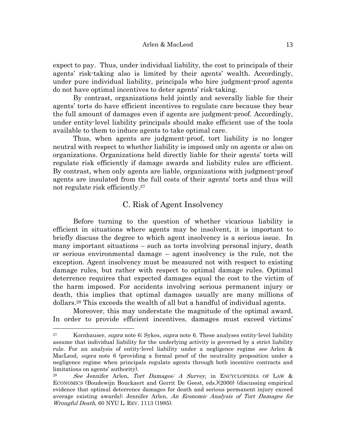expect to pay. Thus, under individual liability, the cost to principals of their agents' risk-taking also is limited by their agents' wealth. Accordingly, under pure individual liability, principals who hire judgment-proof agents do not have optimal incentives to deter agents' risk-taking.

 By contrast, organizations held jointly and severally liable for their agents' torts do have efficient incentives to regulate care because they bear the full amount of damages even if agents are judgment-proof. Accordingly, under entity-level liability principals should make efficient use of the tools available to them to induce agents to take optimal care.

 Thus, when agents are judgment-proof, tort liability is no longer neutral with respect to whether liability is imposed only on agents or also on organizations. Organizations held directly liable for their agents' torts will regulate risk efficiently if damage awards and liability rules are efficient. By contrast, when only agents are liable, organizations with judgment-proof agents are insulated from the full costs of their agents' torts and thus will not regulate risk efficiently.27

#### C. Risk of Agent Insolvency

 Before turning to the question of whether vicarious liability is efficient in situations where agents may be insolvent, it is important to briefly discuss the degree to which agent insolvency is a serious issue. In many important situations – such as torts involving personal injury, death or serious environmental damage – agent insolvency is the rule, not the exception. Agent insolvency must be measured not with respect to existing damage rules, but rather with respect to optimal damage rules. Optimal deterrence requires that expected damages equal the cost to the victim of the harm imposed. For accidents involving serious permanent injury or death, this implies that optimal damages usually are many millions of dollars.28 This exceeds the wealth of all but a handful of individual agents.

 Moreover, this may understate the magnitude of the optimal award. In order to provide efficient incentives, damages must exceed victims'

<sup>&</sup>lt;sup>27</sup> Kornhauser, *supra* note 6; Sykes, *supra* note 6. These analyses entity-level liability assume that individual liability for the underlying activity is governed by a strict liability rule. For an analysis of entity-level liability under a negligence regime see Arlen & MacLeod, supra note 6 (providing a formal proof of the neutrality proposition under a negligence regime when principals regulate agents through both incentive contracts and limitations on agents' authority).

See Jennifer Arlen, Tort Damages: A Survey, in ENCYCLOPEDIA OF LAW & ECONOMICS (Boudewijn Bouckaert and Gerrit De Geest, eds.)(2000) (discussing empirical evidence that optimal deterrence damages for death and serious permanent injury exceed average existing awards); Jennifer Arlen, An Economic Analysis of Tort Damages for Wrongful Death, 60 NYU L. REV. 1113 (1985).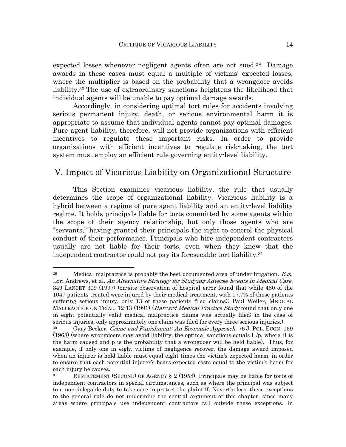expected losses whenever negligent agents often are not sued.<sup>29</sup> Damage awards in these cases must equal a multiple of victims' expected losses, where the multiplier is based on the probability that a wrongdoer avoids liability.30 The use of extraordinary sanctions heightens the likelihood that individual agents will be unable to pay optimal damage awards.

 Accordingly, in considering optimal tort rules for accidents involving serious permanent injury, death, or serious environmental harm it is appropriate to assume that individual agents cannot pay optimal damages. Pure agent liability, therefore, will not provide organizations with efficient incentives to regulate these important risks. In order to provide organizations with efficient incentives to regulate risk-taking, the tort system must employ an efficient rule governing entity-level liability.

#### V. Impact of Vicarious Liability on Organizational Structure

 This Section examines vicarious liability, the rule that usually determines the scope of organizational liability. Vicarious liability is a hybrid between a regime of pure agent liability and an entity-level liability regime. It holds principals liable for torts committed by some agents within the scope of their agency relationship, but only those agents who are "servants," having granted their principals the right to control the physical conduct of their performance. Principals who hire independent contractors usually are not liable for their torts, even when they knew that the independent contractor could not pay its foreseeable tort liability.31

<sup>&</sup>lt;sup>29</sup> Medical malpractice is probably the best documented area of under-litigation.  $E.g.,$ Lori Andrews, et al, An Alternative Strategy for Studying Adverse Events in Medical Care, 349 LANCET 309 (1997) (on-site observation of hospital error found that while 480 of the 1047 patients treated were injured by their medical treatment, with 17.7% of these patients suffering serious injury, only 13 of these patients filed claims); Paul Weiler, MEDICAL MALPRACTICE ON TRIAL, 12-13 (1991) (*Harvard Medical Practice Study* found that only one in eight potentially valid medical malpractice claims was actually filed; in the case of serious injuries, only approximately one claim was filed for every three serious injuries.).

Gary Becker, Crime and Punishment: An Economic Approach, 76 J. POL. ECON. 169 (1968) (where wrongdoers may avoid liability, the optimal sanctions equals H/p, where H is the harm caused and p is the probability that a wrongdoer will be held liable). Thus, for example, if only one in eight victims of negligence recover, the damage award imposed when an injurer is held liable must equal eight times the victim's expected harm, in order to ensure that each potential injurer's bears expected costs equal to the victim's harm for each injury he causes.

<sup>&</sup>lt;sup>31</sup> RESTATEMENT (SECOND) OF AGENCY § 2 (1958). Principals may be liable for torts of independent contractors in special circumstances, such as where the principal was subject to a non-delegable duty to take care to protect the plaintiff. Nevertheless, these exceptions to the general rule do not undermine the central argument of this chapter, since many areas where principals use independent contractors fall outside these exceptions. In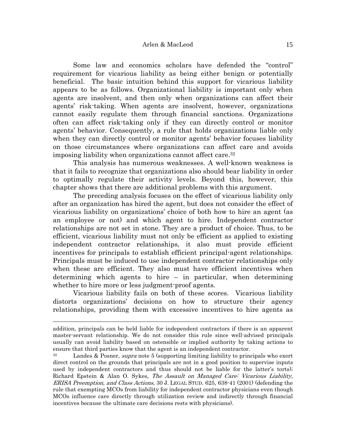Some law and economics scholars have defended the "control" requirement for vicarious liability as being either benign or potentially beneficial. The basic intuition behind this support for vicarious liability appears to be as follows. Organizational liability is important only when agents are insolvent, and then only when organizations can affect their agents' risk-taking. When agents are insolvent, however, organizations cannot easily regulate them through financial sanctions. Organizations often can affect risk-taking only if they can directly control or monitor agents' behavior. Consequently, a rule that holds organizations liable only when they can directly control or monitor agents' behavior focuses liability on those circumstances where organizations can affect care and avoids imposing liability when organizations cannot affect care.32

 This analysis has numerous weaknesses. A well-known weakness is that it fails to recognize that organizations also should bear liability in order to optimally regulate their activity levels. Beyond this, however, this chapter shows that there are additional problems with this argument.

 The preceding analysis focuses on the effect of vicarious liability only after an organization has hired the agent, but does not consider the effect of vicarious liability on organizations' choice of both how to hire an agent (as an employee or not) and which agent to hire. Independent contractor relationships are not set in stone. They are a product of choice. Thus, to be efficient, vicarious liability must not only be efficient as applied to existing independent contractor relationships, it also must provide efficient incentives for principals to establish efficient principal-agent relationships. Principals must be induced to use independent contractor relationships only when these are efficient. They also must have efficient incentives when determining which agents to hire – in particular, when determining whether to hire more or less judgment-proof agents.

 Vicarious liability fails on both of these scores. Vicarious liability distorts organizations' decisions on how to structure their agency relationships, providing them with excessive incentives to hire agents as

addition, principals can be held liable for independent contractors if there is an apparent master-servant relationship. We do not consider this rule since well-advised principals usually can avoid liability based on ostensible or implied authority by taking actions to ensure that third parties know that the agent is an independent contractor.

 $32$  Landes & Posner, *supra* note 5 (supporting limiting liability to principals who exert direct control on the grounds that principals are not in a good position to supervise inputs used by independent contractors and thus should not be liable for the latter's torts); Richard Epstein & Alan O. Sykes, The Assault on Managed Care: Vicarious Liability, ERISA Preemption, and Class Actions, 30 J. LEGAL STUD. 625, 638-41 (2001) (defending the rule that exempting MCOs from liability for independent contractor physicians even though MCOs influence care directly through utilization review and indirectly through financial incentives because the ultimate care decisions rests with physicians).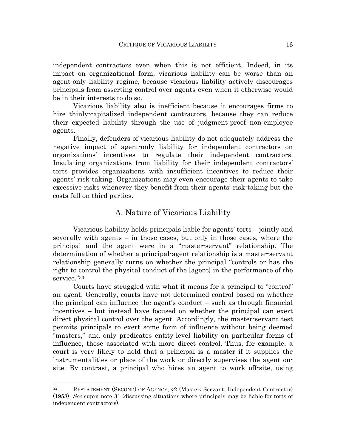independent contractors even when this is not efficient. Indeed, in its impact on organizational form, vicarious liability can be worse than an agent-only liability regime, because vicarious liability actively discourages principals from asserting control over agents even when it otherwise would be in their interests to do so.

 Vicarious liability also is inefficient because it encourages firms to hire thinly-capitalized independent contractors, because they can reduce their expected liability through the use of judgment-proof non-employee agents.

 Finally, defenders of vicarious liability do not adequately address the negative impact of agent-only liability for independent contractors on organizations' incentives to regulate their independent contractors. Insulating organizations from liability for their independent contractors' torts provides organizations with insufficient incentives to reduce their agents' risk-taking. Organizations may even encourage their agents to take excessive risks whenever they benefit from their agents' risk-taking but the costs fall on third parties.

#### A. Nature of Vicarious Liability

 Vicarious liability holds principals liable for agents' torts – jointly and severally with agents – in those cases, but only in those cases, where the principal and the agent were in a "master-servant" relationship. The determination of whether a principal-agent relationship is a master-servant relationship generally turns on whether the principal "controls or has the right to control the physical conduct of the [agent] in the performance of the service."33

 Courts have struggled with what it means for a principal to "control" an agent. Generally, courts have not determined control based on whether the principal can influence the agent's conduct – such as through financial incentives – but instead have focused on whether the principal can exert direct physical control over the agent. Accordingly, the master-servant test permits principals to exert some form of influence without being deemed "masters," and only predicates entity-level liability on particular forms of influence, those associated with more direct control. Thus, for example, a court is very likely to hold that a principal is a master if it supplies the instrumentalities or place of the work or directly supervises the agent onsite. By contrast, a principal who hires an agent to work off-site, using

<sup>33</sup> RESTATEMENT (SECOND) OF AGENCY, §2 (Master; Servant; Independent Contractor) (1958). See supra note 31 (discussing situations where principals may be liable for torts of independent contractors).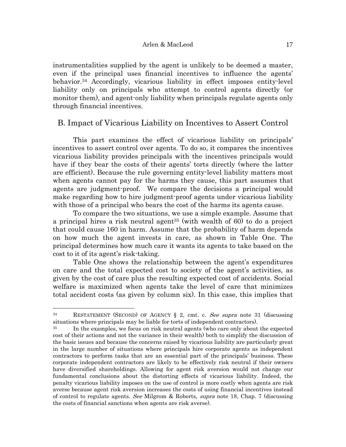instrumentalities supplied by the agent is unlikely to be deemed a master, even if the principal uses financial incentives to influence the agents' behavior.34 Accordingly, vicarious liability in effect imposes entity-level liability only on principals who attempt to control agents directly (or monitor them), and agent-only liability when principals regulate agents only through financial incentives.

#### B. Impact of Vicarious Liability on Incentives to Assert Control

 This part examines the effect of vicarious liability on principals' incentives to assert control over agents. To do so, it compares the incentives vicarious liability provides principals with the incentives principals would have if they bear the costs of their agents' torts directly (where the latter are efficient). Because the rule governing entity-level liability matters most when agents cannot pay for the harms they cause, this part assumes that agents are judgment-proof. We compare the decisions a principal would make regarding how to hire judgment-proof agents under vicarious liability with those of a principal who bears the cost of the harms its agents cause.

 To compare the two situations, we use a simple example. Assume that a principal hires a risk neutral agent<sup>35</sup> (with wealth of 60) to do a project that could cause 160 in harm. Assume that the probability of harm depends on how much the agent invests in care, as shown in Table One. The principal determines how much care it wants its agents to take based on the cost to it of its agent's risk-taking.

 Table One shows the relationship between the agent's expenditures on care and the total expected cost to society of the agent's activities, as given by the cost of care plus the resulting expected cost of accidents. Social welfare is maximized when agents take the level of care that minimizes total accident costs (as given by column six). In this case, this implies that

<sup>&</sup>lt;sup>34</sup> RESTATEMENT (SECOND) OF AGENCY § 2, cmt. c. See supra note 31 (discussing situations where principals may be liable for torts of independent contractors).

In the examples, we focus on risk neutral agents (who care only about the expected cost of their actions and not the variance in their wealth) both to simplify the discussion of the basic issues and because the concerns raised by vicarious liability are particularly great in the large number of situations where principals hire corporate agents as independent contractors to perform tasks that are an essential part of the principals' business. These corporate independent contractors are likely to be effectively risk neutral if their owners have diversified shareholdings. Allowing for agent risk aversion would not change our fundamental conclusions about the distorting effects of vicarious liability. Indeed, the penalty vicarious liability imposes on the use of control is more costly when agents are risk averse because agent risk aversion increases the costs of using financial incentives instead of control to regulate agents. See Milgrom & Roberts, *supra* note 18, Chap. 7 (discussing the costs of financial sanctions when agents are risk averse).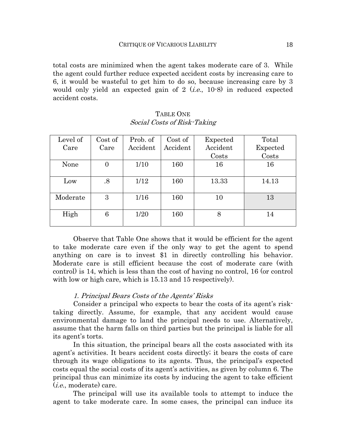total costs are minimized when the agent takes moderate care of 3. While the agent could further reduce expected accident costs by increasing care to 6, it would be wasteful to get him to do so, because increasing care by 3 would only yield an expected gain of  $2$  (*i.e.*, 10-8) in reduced expected accident costs.

| Level of | Cost of | Prob. of | Cost of  | Expected | Total    |
|----------|---------|----------|----------|----------|----------|
| Care     | Care    | Accident | Accident | Accident | Expected |
|          |         |          |          | Costs    | Costs    |
| None     | 0       | 1/10     | 160      | 16       | 16       |
| Low      | .8      | 1/12     | 160      | 13.33    | 14.13    |
| Moderate | 3       | 1/16     | 160      | 10       | 13       |
| High     | 6       | 1/20     | 160      | 8        | 14       |

TABLE ONE Social Costs of Risk-Taking

 Observe that Table One shows that it would be efficient for the agent to take moderate care even if the only way to get the agent to spend anything on care is to invest \$1 in directly controlling his behavior. Moderate care is still efficient because the cost of moderate care (with control) is 14, which is less than the cost of having no control, 16 (or control with low or high care, which is 15.13 and 15 respectively).

#### 1. Principal Bears Costs of the Agents' Risks

 Consider a principal who expects to bear the costs of its agent's risktaking directly. Assume, for example, that any accident would cause environmental damage to land the principal needs to use. Alternatively, assume that the harm falls on third parties but the principal is liable for all its agent's torts.

 In this situation, the principal bears all the costs associated with its agent's activities. It bears accident costs directly; it bears the costs of care through its wage obligations to its agents. Thus, the principal's expected costs equal the social costs of its agent's activities, as given by column 6. The principal thus can minimize its costs by inducing the agent to take efficient (i.e., moderate) care.

 The principal will use its available tools to attempt to induce the agent to take moderate care. In some cases, the principal can induce its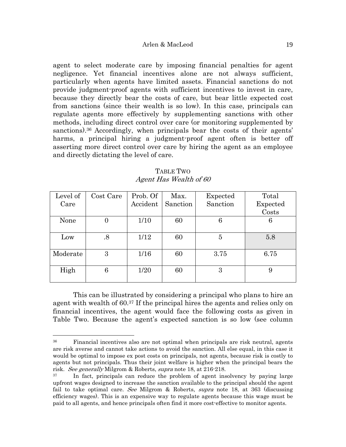#### Arlen & MacLeod 19

agent to select moderate care by imposing financial penalties for agent negligence. Yet financial incentives alone are not always sufficient, particularly when agents have limited assets. Financial sanctions do not provide judgment-proof agents with sufficient incentives to invest in care, because they directly bear the costs of care, but bear little expected cost from sanctions (since their wealth is so low). In this case, principals can regulate agents more effectively by supplementing sanctions with other methods, including direct control over care (or monitoring supplemented by sanctions).36 Accordingly, when principals bear the costs of their agents' harms, a principal hiring a judgment-proof agent often is better off asserting more direct control over care by hiring the agent as an employee and directly dictating the level of care.

| Level of | Cost Care | Prob. Of | Max.     | Expected | Total    |
|----------|-----------|----------|----------|----------|----------|
| Care     |           | Accident | Sanction | Sanction | Expected |
|          |           |          |          |          | Costs    |
| None     |           | 1/10     | 60       | 6        | 6        |
|          |           |          |          |          |          |
| Low      | .8        | 1/12     | 60       | 5        | 5.8      |
|          |           |          |          |          |          |
| Moderate | 3         | 1/16     | 60       | 3.75     | 6.75     |
|          |           |          |          |          |          |
| High     | 6         | 1/20     | 60       | 3        | 9        |
|          |           |          |          |          |          |

TABLE TWO Agent Has Wealth of 60

 This can be illustrated by considering a principal who plans to hire an agent with wealth of 60.37 If the principal hires the agents and relies only on financial incentives, the agent would face the following costs as given in Table Two. Because the agent's expected sanction is so low (see column

<sup>36</sup> Financial incentives also are not optimal when principals are risk neutral, agents are risk averse and cannot take actions to avoid the sanction. All else equal, in this case it would be optimal to impose ex post costs on principals, not agents, because risk is costly to agents but not principals. Thus their joint welfare is higher when the principal bears the risk. See generally Milgrom & Roberts, supra note 18, at 216-218.

In fact, principals can reduce the problem of agent insolvency by paying large upfront wages designed to increase the sanction available to the principal should the agent fail to take optimal care. See Milgrom & Roberts, supra note 18, at 363 (discussing efficiency wages). This is an expensive way to regulate agents because this wage must be paid to all agents, and hence principals often find it more cost-effective to monitor agents.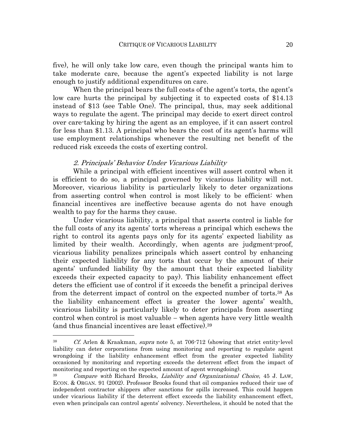five), he will only take low care, even though the principal wants him to take moderate care, because the agent's expected liability is not large enough to justify additional expenditures on care.

 When the principal bears the full costs of the agent's torts, the agent's low care hurts the principal by subjecting it to expected costs of \$14.13 instead of \$13 (see Table One). The principal, thus, may seek additional ways to regulate the agent. The principal may decide to exert direct control over care-taking by hiring the agent as an employee, if it can assert control for less than \$1.13. A principal who bears the cost of its agent's harms will use employment relationships whenever the resulting net benefit of the reduced risk exceeds the costs of exerting control.

#### 2. Principals' Behavior Under Vicarious Liability

 While a principal with efficient incentives will assert control when it is efficient to do so, a principal governed by vicarious liability will not. Moreover, vicarious liability is particularly likely to deter organizations from asserting control when control is most likely to be efficient: when financial incentives are ineffective because agents do not have enough wealth to pay for the harms they cause.

 Under vicarious liability, a principal that asserts control is liable for the full costs of any its agents' torts whereas a principal which eschews the right to control its agents pays only for its agents' expected liability as limited by their wealth. Accordingly, when agents are judgment-proof, vicarious liability penalizes principals which assert control by enhancing their expected liability for any torts that occur by the amount of their agents' unfunded liability (by the amount that their expected liability exceeds their expected capacity to pay). This liability enhancement effect deters the efficient use of control if it exceeds the benefit a principal derives from the deterrent impact of control on the expected number of torts.38 As the liability enhancement effect is greater the lower agents' wealth, vicarious liability is particularly likely to deter principals from asserting control when control is most valuable − when agents have very little wealth (and thus financial incentives are least effective).39

<sup>&</sup>lt;sup>38</sup> Cf. Arlen & Kraakman, *supra* note 5, at 706-712 (showing that strict entity-level liability can deter corporations from using monitoring and reporting to regulate agent wrongdoing if the liability enhancement effect from the greater expected liability occasioned by monitoring and reporting exceeds the deterrent effect from the impact of monitoring and reporting on the expected amount of agent wrongdoing).

Compare with Richard Brooks, Liability and Organizational Choice, 45 J. LAW, ECON. & ORGAN. 91 (2002). Professor Brooks found that oil companies reduced their use of independent contractor shippers after sanctions for spills increased. This could happen under vicarious liability if the deterrent effect exceeds the liability enhancement effect, even when principals can control agents' solvency. Nevertheless, it should be noted that the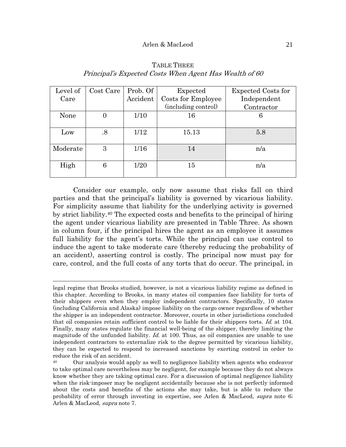| Level of | Cost Care | Prob. Of | Expected            | <b>Expected Costs for</b> |
|----------|-----------|----------|---------------------|---------------------------|
| Care     |           | Accident | Costs for Employee  | Independent               |
|          |           |          | (including control) | Contractor                |
| None     |           | 1/10     | 16                  | 6                         |
|          |           |          |                     |                           |
| Low      | .8        | 1/12     | 15.13               | 5.8                       |
|          |           |          |                     |                           |
| Moderate | 3         | 1/16     | 14                  | n/a                       |
|          |           |          |                     |                           |
| High     | 6         | 1/20     | 15                  | n/a                       |
|          |           |          |                     |                           |

#### TABLE THREE Principal's Expected Costs When Agent Has Wealth of 60

 Consider our example, only now assume that risks fall on third parties and that the principal's liability is governed by vicarious liability. For simplicity assume that liability for the underlying activity is governed by strict liability.40 The expected costs and benefits to the principal of hiring the agent under vicarious liability are presented in Table Three. As shown in column four, if the principal hires the agent as an employee it assumes full liability for the agent's torts. While the principal can use control to induce the agent to take moderate care (thereby reducing the probability of an accident), asserting control is costly. The principal now must pay for care, control, and the full costs of any torts that do occur. The principal, in

legal regime that Brooks studied, however, is not a vicarious liability regime as defined in this chapter. According to Brooks, in many states oil companies face liability for torts of their shippers even when they employ independent contractors. Specifically, 10 states (including California and Alaska) impose liability on the cargo owner regardless of whether the shipper is an independent contractor. Moreover, courts in other jurisdictions concluded that oil companies retain sufficient control to be liable for their shippers torts. Id. at 104. Finally, many states regulate the financial well-being of the shipper, thereby limiting the magnitude of the unfunded liability.  $Id$  at 100. Thus, as oil companies are unable to use independent contractors to externalize risk to the degree permitted by vicarious liability, they can be expected to respond to increased sanctions by exerting control in order to reduce the risk of an accident.

<sup>&</sup>lt;sup>40</sup> Our analysis would apply as well to negligence liability when agents who endeavor to take optimal care nevertheless may be negligent, for example because they do not always know whether they are taking optimal care. For a discussion of optimal negligence liability when the risk-imposer may be negligent accidentally because she is not perfectly informed about the costs and benefits of the actions she may take, but is able to reduce the probability of error through investing in expertise, see Arlen & MacLeod, *supra* note 6; Arlen & MacLeod, supra note 7.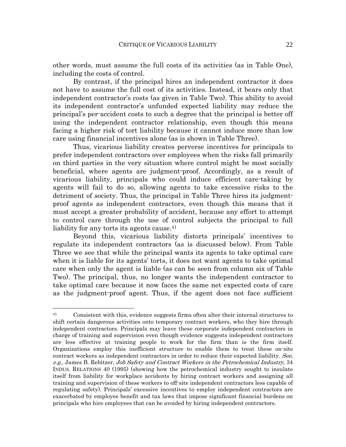other words, must assume the full costs of its activities (as in Table One), including the costs of control.

 By contrast, if the principal hires an independent contractor it does not have to assume the full cost of its activities. Instead, it bears only that independent contractor's costs (as given in Table Two). This ability to avoid its independent contractor's unfunded expected liability may reduce the principal's per-accident costs to such a degree that the principal is better off using the independent contractor relationship, even though this means facing a higher risk of tort liability because it cannot induce more than low care using financial incentives alone (as is shown in Table Three).

 Thus, vicarious liability creates perverse incentives for principals to prefer independent contractors over employees when the risks fall primarily on third parties in the very situation where control might be most socially beneficial, where agents are judgment-proof. Accordingly, as a result of vicarious liability, principals who could induce efficient care-taking by agents will fail to do so, allowing agents to take excessive risks to the detriment of society. Thus, the principal in Table Three hires its judgmentproof agents as independent contractors, even though this means that it must accept a greater probability of accident, because any effort to attempt to control care through the use of control subjects the principal to full liability for any torts its agents cause.<sup>41</sup>

 Beyond this, vicarious liability distorts principals' incentives to regulate its independent contractors (as is discussed below). From Table Three we see that while the principal wants its agents to take optimal care when it is liable for its agents' torts, it does not want agents to take optimal care when only the agent is liable (as can be seen from column six of Table Two). The principal, thus, no longer wants the independent contractor to take optimal care because it now faces the same net expected costs of care as the judgment-proof agent. Thus, if the agent does not face sufficient

<sup>41</sup> Consistent with this, evidence suggests firms often alter their internal structures to shift certain dangerous activities onto temporary contract workers, who they hire through independent contractors. Principals may leave these corporate independent contractors in charge of training and supervision even though evidence suggests independent contractors are less effective at training people to work for the firm than is the firm itself. Organizations employ this inefficient structure to enable them to treat these on-site contract workers as independent contractors in order to reduce their expected liability. See, e.g., James B. Rebitzer, Job Safety and Contract Workers in the Petrochemical Industry, 34 INDUS. RELATIONS 40 (1995) (showing how the petrochemical industry sought to insulate itself from liability for workplace accidents by hiring contract workers and assigning all training and supervision of these workers to off-site independent contractors less capable of regulating safety). Principals' excessive incentives to employ independent contractors are exacerbated by employee benefit and tax laws that impose significant financial burdens on principals who hire employees that can be avoided by hiring independent contractors.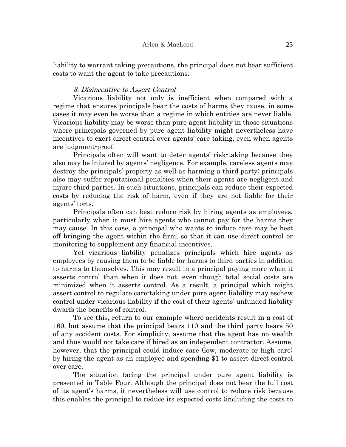liability to warrant taking precautions, the principal does not bear sufficient costs to want the agent to take precautions.

#### 3. Disincentive to Assert Control

 Vicarious liability not only is inefficient when compared with a regime that ensures principals bear the costs of harms they cause, in some cases it may even be worse than a regime in which entities are never liable. Vicarious liability may be worse than pure agent liability in those situations where principals governed by pure agent liability might nevertheless have incentives to exert direct control over agents' care-taking, even when agents are judgment-proof.

 Principals often will want to deter agents' risk-taking because they also may be injured by agents' negligence. For example, careless agents may destroy the principals' property as well as harming a third party; principals also may suffer reputational penalties when their agents are negligent and injure third parties. In such situations, principals can reduce their expected costs by reducing the risk of harm, even if they are not liable for their agents' torts.

 Principals often can best reduce risk by hiring agents as employees, particularly when it must hire agents who cannot pay for the harms they may cause. In this case, a principal who wants to induce care may be best off bringing the agent within the firm, so that it can use direct control or monitoring to supplement any financial incentives.

 Yet vicarious liability penalizes principals which hire agents as employees by causing them to be liable for harms to third parties in addition to harms to themselves. This may result in a principal paying more when it asserts control than when it does not, even though total social costs are minimized when it asserts control. As a result, a principal which might assert control to regulate care-taking under pure agent liability may eschew control under vicarious liability if the cost of their agents' unfunded liability dwarfs the benefits of control.

 To see this, return to our example where accidents result in a cost of 160, but assume that the principal bears 110 and the third party bears 50 of any accident costs. For simplicity, assume that the agent has no wealth and thus would not take care if hired as an independent contractor. Assume, however, that the principal could induce care (low, moderate or high care) by hiring the agent as an employee and spending \$1 to assert direct control over care.

 The situation facing the principal under pure agent liability is presented in Table Four. Although the principal does not bear the full cost of its agent's harms, it nevertheless will use control to reduce risk because this enables the principal to reduce its expected costs (including the costs to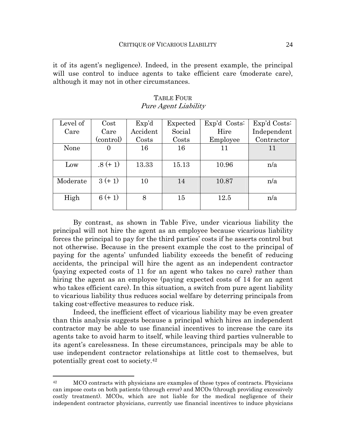it of its agent's negligence). Indeed, in the present example, the principal will use control to induce agents to take efficient care (moderate care), although it may not in other circumstances.

| Level of | $\cos t$   | Exp'd    | Expected | Exp'd Costs: | Exp'd Costs: |
|----------|------------|----------|----------|--------------|--------------|
| Care     | Care       | Accident | Social   | Hire         | Independent  |
|          | (control)  | Costs    | Costs    | Employee     | Contractor   |
| None     | $\theta$   | 16       | 16       | 11           | 11           |
|          |            |          |          |              |              |
| Low      | $.8 (+ 1)$ | 13.33    | 15.13    | 10.96        | n/a          |
|          |            |          |          |              |              |
| Moderate | $3 (+ 1)$  | 10       | 14       | 10.87        | n/a          |
|          |            |          |          |              |              |
| High     | $6 (+ 1)$  | 8        | 15       | 12.5         | n/a          |
|          |            |          |          |              |              |

#### TABLE FOUR Pure Agent Liability

 By contrast, as shown in Table Five, under vicarious liability the principal will not hire the agent as an employee because vicarious liability forces the principal to pay for the third parties' costs if he asserts control but not otherwise. Because in the present example the cost to the principal of paying for the agents' unfunded liability exceeds the benefit of reducing accidents, the principal will hire the agent as an independent contractor (paying expected costs of 11 for an agent who takes no care) rather than hiring the agent as an employee (paying expected costs of 14 for an agent who takes efficient care). In this situation, a switch from pure agent liability to vicarious liability thus reduces social welfare by deterring principals from taking cost-effective measures to reduce risk.

 Indeed, the inefficient effect of vicarious liability may be even greater than this analysis suggests because a principal which hires an independent contractor may be able to use financial incentives to increase the care its agents take to avoid harm to itself, while leaving third parties vulnerable to its agent's carelessness. In these circumstances, principals may be able to use independent contractor relationships at little cost to themselves, but potentially great cost to society.42

<sup>&</sup>lt;sup>42</sup> MCO contracts with physicians are examples of these types of contracts. Physicians can impose costs on both patients (through error) and MCOs (through providing excessively costly treatment). MCOs, which are not liable for the medical negligence of their independent contractor physicians, currently use financial incentives to induce physicians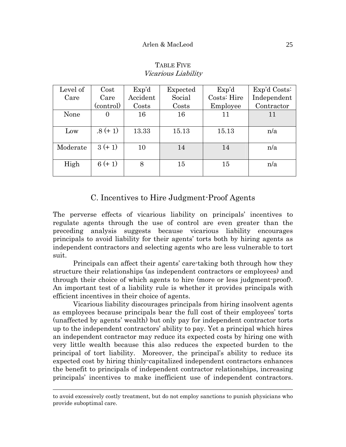| Level of | $\mathrm{Cost}$ | Exp'd    | Expected | Exp'd       | Exp'd Costs: |
|----------|-----------------|----------|----------|-------------|--------------|
| Care     | Care            | Accident | Social   | Costs: Hire | Independent  |
|          | (control)       | Costs    | Costs    | Employee    | Contractor   |
| None     | 0               | 16       | 16       | 11          | 11           |
|          |                 |          |          |             |              |
| Low      | $.8 (+ 1)$      | 13.33    | 15.13    | 15.13       | n/a          |
|          |                 |          |          |             |              |
| Moderate | $3 (+ 1)$       | 10       | 14       | 14          | n/a          |
|          |                 |          |          |             |              |
| High     | $6 (+ 1)$       | 8        | 15       | 15          | n/a          |
|          |                 |          |          |             |              |

#### TABLE FIVE Vicarious Liability

#### C. Incentives to Hire Judgment-Proof Agents

The perverse effects of vicarious liability on principals' incentives to regulate agents through the use of control are even greater than the preceding analysis suggests because vicarious liability encourages principals to avoid liability for their agents' torts both by hiring agents as independent contractors and selecting agents who are less vulnerable to tort suit.

 Principals can affect their agents' care-taking both through how they structure their relationships (as independent contractors or employees) and through their choice of which agents to hire (more or less judgment-proof). An important test of a liability rule is whether it provides principals with efficient incentives in their choice of agents.

 Vicarious liability discourages principals from hiring insolvent agents as employees because principals bear the full cost of their employees' torts (unaffected by agents' wealth) but only pay for independent contractor torts up to the independent contractors' ability to pay. Yet a principal which hires an independent contractor may reduce its expected costs by hiring one with very little wealth because this also reduces the expected burden to the principal of tort liability. Moreover, the principal's ability to reduce its expected cost by hiring thinly-capitalized independent contractors enhances the benefit to principals of independent contractor relationships, increasing principals' incentives to make inefficient use of independent contractors.

to avoid excessively costly treatment, but do not employ sanctions to punish physicians who provide suboptimal care.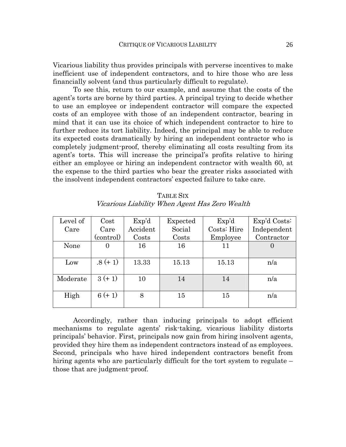Vicarious liability thus provides principals with perverse incentives to make inefficient use of independent contractors, and to hire those who are less financially solvent (and thus particularly difficult to regulate).

 To see this, return to our example, and assume that the costs of the agent's torts are borne by third parties. A principal trying to decide whether to use an employee or independent contractor will compare the expected costs of an employee with those of an independent contractor, bearing in mind that it can use its choice of which independent contractor to hire to further reduce its tort liability. Indeed, the principal may be able to reduce its expected costs dramatically by hiring an independent contractor who is completely judgment-proof, thereby eliminating all costs resulting from its agent's torts. This will increase the principal's profits relative to hiring either an employee or hiring an independent contractor with wealth 60, at the expense to the third parties who bear the greater risks associated with the insolvent independent contractors' expected failure to take care.

| Level of<br>Care | $\rm Cost$<br>Care | Exp'd<br>Accident | Expected<br>Social | Exp'd<br>Costs: Hire | Exp'd Costs:<br>Independent |
|------------------|--------------------|-------------------|--------------------|----------------------|-----------------------------|
|                  | (control)          | Costs             | Costs              | Employee             | Contractor                  |
| None             | $\Omega$           | 16                | 16                 | 11                   | $\Omega$                    |
| Low              | $.8 (+ 1)$         | 13.33             | 15.13              | 15.13                | n/a                         |
| Moderate         | $3 (+ 1)$          | 10                | 14                 | 14                   | n/a                         |
| High             | $6 (+ 1)$          | 8                 | 15                 | 15                   | n/a                         |

TABLE SIX Vicarious Liability When Agent Has Zero Wealth

 Accordingly, rather than inducing principals to adopt efficient mechanisms to regulate agents' risk-taking, vicarious liability distorts principals' behavior. First, principals now gain from hiring insolvent agents, provided they hire them as independent contractors instead of as employees. Second, principals who have hired independent contractors benefit from hiring agents who are particularly difficult for the tort system to regulate – those that are judgment-proof.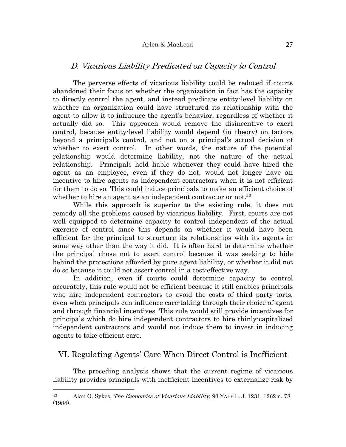#### Arlen & MacLeod 27

#### D. Vicarious Liability Predicated on Capacity to Control

 The perverse effects of vicarious liability could be reduced if courts abandoned their focus on whether the organization in fact has the capacity to directly control the agent, and instead predicate entity-level liability on whether an organization could have structured its relationship with the agent to allow it to influence the agent's behavior, regardless of whether it actually did so. This approach would remove the disincentive to exert control, because entity-level liability would depend (in theory) on factors beyond a principal's control, and not on a principal's actual decision of whether to exert control. In other words, the nature of the potential relationship would determine liability, not the nature of the actual relationship. Principals held liable whenever they could have hired the agent as an employee, even if they do not, would not longer have an incentive to hire agents as independent contractors when it is not efficient for them to do so. This could induce principals to make an efficient choice of whether to hire an agent as an independent contractor or not.<sup>43</sup>

 While this approach is superior to the existing rule, it does not remedy all the problems caused by vicarious liability. First, courts are not well equipped to determine capacity to control independent of the actual exercise of control since this depends on whether it would have been efficient for the principal to structure its relationships with its agents in some way other than the way it did. It is often hard to determine whether the principal chose not to exert control because it was seeking to hide behind the protections afforded by pure agent liability, or whether it did not do so because it could not assert control in a cost-effective way.

 In addition, even if courts could determine capacity to control accurately, this rule would not be efficient because it still enables principals who hire independent contractors to avoid the costs of third party torts, even when principals can influence care-taking through their choice of agent and through financial incentives. This rule would still provide incentives for principals which do hire independent contractors to hire thinly-capitalized independent contractors and would not induce them to invest in inducing agents to take efficient care.

#### VI. Regulating Agents' Care When Direct Control is Inefficient

 The preceding analysis shows that the current regime of vicarious liability provides principals with inefficient incentives to externalize risk by

<sup>&</sup>lt;sup>43</sup> Alan O. Sykes, *The Economics of Vicarious Liability*, 93 YALE L. J. 1231, 1262 n. 78 (1984).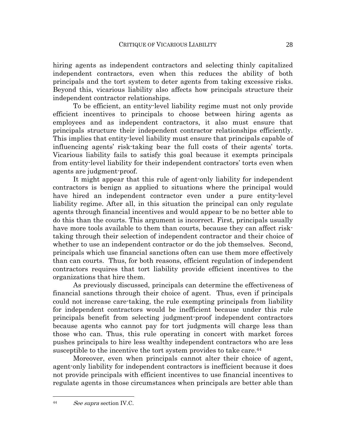hiring agents as independent contractors and selecting thinly capitalized independent contractors, even when this reduces the ability of both principals and the tort system to deter agents from taking excessive risks. Beyond this, vicarious liability also affects how principals structure their independent contractor relationships.

 To be efficient, an entity-level liability regime must not only provide efficient incentives to principals to choose between hiring agents as employees and as independent contractors, it also must ensure that principals structure their independent contractor relationships efficiently. This implies that entity-level liability must ensure that principals capable of influencing agents' risk-taking bear the full costs of their agents' torts. Vicarious liability fails to satisfy this goal because it exempts principals from entity-level liability for their independent contractors' torts even when agents are judgment-proof.

 It might appear that this rule of agent-only liability for independent contractors is benign as applied to situations where the principal would have hired an independent contractor even under a pure entity-level liability regime. After all, in this situation the principal can only regulate agents through financial incentives and would appear to be no better able to do this than the courts. This argument is incorrect. First, principals usually have more tools available to them than courts, because they can affect risktaking through their selection of independent contractor and their choice of whether to use an independent contractor or do the job themselves. Second, principals which use financial sanctions often can use them more effectively than can courts. Thus, for both reasons, efficient regulation of independent contractors requires that tort liability provide efficient incentives to the organizations that hire them.

 As previously discussed, principals can determine the effectiveness of financial sanctions through their choice of agent. Thus, even if principals could not increase care-taking, the rule exempting principals from liability for independent contractors would be inefficient because under this rule principals benefit from selecting judgment-proof independent contractors because agents who cannot pay for tort judgments will charge less than those who can. Thus, this rule operating in concert with market forces pushes principals to hire less wealthy independent contractors who are less susceptible to the incentive the tort system provides to take care.<sup>44</sup>

 Moreover, even when principals cannot alter their choice of agent, agent-only liability for independent contractors is inefficient because it does not provide principals with efficient incentives to use financial incentives to regulate agents in those circumstances when principals are better able than

<sup>44</sup> See supra section IV.C.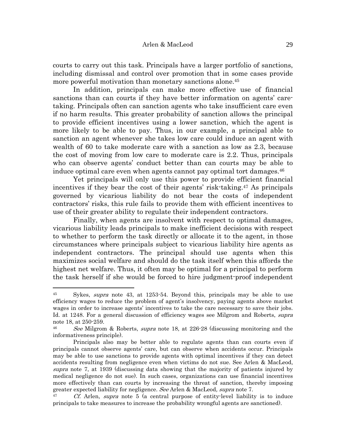courts to carry out this task. Principals have a larger portfolio of sanctions, including dismissal and control over promotion that in some cases provide more powerful motivation than monetary sanctions alone.45

 In addition, principals can make more effective use of financial sanctions than can courts if they have better information on agents' caretaking. Principals often can sanction agents who take insufficient care even if no harm results. This greater probability of sanction allows the principal to provide efficient incentives using a lower sanction, which the agent is more likely to be able to pay. Thus, in our example, a principal able to sanction an agent whenever she takes low care could induce an agent with wealth of 60 to take moderate care with a sanction as low as 2.3, because the cost of moving from low care to moderate care is 2.2. Thus, principals who can observe agents' conduct better than can courts may be able to induce optimal care even when agents cannot pay optimal tort damages.  $46$ 

 Yet principals will only use this power to provide efficient financial incentives if they bear the cost of their agents' risk-taking.47 As principals governed by vicarious liability do not bear the costs of independent contractors' risks, this rule fails to provide them with efficient incentives to use of their greater ability to regulate their independent contractors.

 Finally, when agents are insolvent with respect to optimal damages, vicarious liability leads principals to make inefficient decisions with respect to whether to perform the task directly or allocate it to the agent, in those circumstances where principals subject to vicarious liability hire agents as independent contractors. The principal should use agents when this maximizes social welfare and should do the task itself when this affords the highest net welfare. Thus, it often may be optimal for a principal to perform the task herself if she would be forced to hire judgment-proof independent

<sup>&</sup>lt;sup>45</sup> Sykes, *supra* note 43, at 1253-54. Beyond this, principals may be able to use efficiency wages to reduce the problem of agent's insolvency, paying agents above market wages in order to increase agents' incentives to take the care necessary to save their jobs. Id. at 1248. For a general discussion of efficiency wages see Milgrom and Roberts, *supra* note 18, at 250-259.

See Milgrom & Roberts, *supra* note 18, at 226-28 (discussing monitoring and the informativeness principle).

Principals also may be better able to regulate agents than can courts even if principals cannot observe agents' care, but can observe when accidents occur. Principals may be able to use sanctions to provide agents with optimal incentives if they can detect accidents resulting from negligence even when victims do not sue. See Arlen & MacLeod, supra note 7, at 1939 (discussing data showing that the majority of patients injured by medical negligence do not sue). In such cases, organizations can use financial incentives more effectively than can courts by increasing the threat of sanction, thereby imposing greater expected liability for negligence. See Arlen & MacLeod, supra note 7.

<sup>&</sup>lt;sup>47</sup> *Cf.* Arlen, *supra* note 5 (a central purpose of entity-level liability is to induce principals to take measures to increase the probability wrongful agents are sanctioned).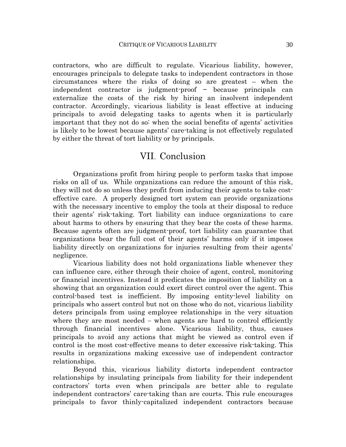contractors, who are difficult to regulate. Vicarious liability, however, encourages principals to delegate tasks to independent contractors in those circumstances where the risks of doing so are greatest – when the independent contractor is judgment-proof − because principals can externalize the costs of the risk by hiring an insolvent independent contractor. Accordingly, vicarious liability is least effective at inducing principals to avoid delegating tasks to agents when it is particularly important that they not do so: when the social benefits of agents' activities is likely to be lowest because agents' care-taking is not effectively regulated by either the threat of tort liability or by principals.

## VII. Conclusion

 Organizations profit from hiring people to perform tasks that impose risks on all of us. While organizations can reduce the amount of this risk, they will not do so unless they profit from inducing their agents to take costeffective care. A properly designed tort system can provide organizations with the necessary incentive to employ the tools at their disposal to reduce their agents' risk-taking. Tort liability can induce organizations to care about harms to others by ensuring that they bear the costs of these harms. Because agents often are judgment-proof, tort liability can guarantee that organizations bear the full cost of their agents' harms only if it imposes liability directly on organizations for injuries resulting from their agents' negligence.

 Vicarious liability does not hold organizations liable whenever they can influence care, either through their choice of agent, control, monitoring or financial incentives. Instead it predicates the imposition of liability on a showing that an organization could exert direct control over the agent. This control-based test is inefficient. By imposing entity-level liability on principals who assert control but not on those who do not, vicarious liability deters principals from using employee relationships in the very situation where they are most needed − when agents are hard to control efficiently through financial incentives alone. Vicarious liability, thus, causes principals to avoid any actions that might be viewed as control even if control is the most cost-effective means to deter excessive risk-taking. This results in organizations making excessive use of independent contractor relationships.

 Beyond this, vicarious liability distorts independent contractor relationships by insulating principals from liability for their independent contractors' torts even when principals are better able to regulate independent contractors' care-taking than are courts. This rule encourages principals to favor thinly-capitalized independent contractors because